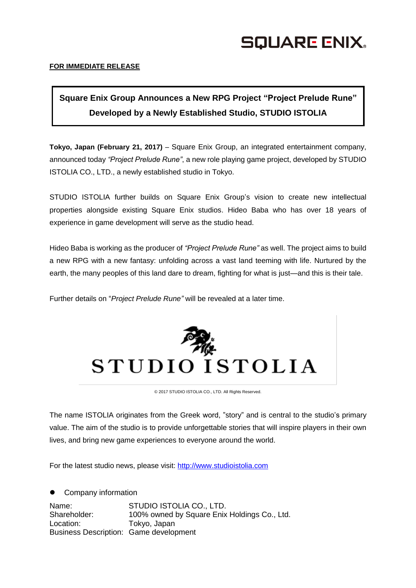## SQUARE ENIX.

## **FOR IMMEDIATE RELEASE**

## **Square Enix Group Announces a New RPG Project "Project Prelude Rune" Developed by a Newly Established Studio, STUDIO ISTOLIA**

**Tokyo, Japan (February 21, 2017)** – Square Enix Group, an integrated entertainment company, announced today *"Project Prelude Rune"*, a new role playing game project, developed by STUDIO ISTOLIA CO., LTD., a newly established studio in Tokyo.

STUDIO ISTOLIA further builds on Square Enix Group's vision to create new intellectual properties alongside existing Square Enix studios. Hideo Baba who has over 18 years of experience in game development will serve as the studio head.

Hideo Baba is working as the producer of *"Project Prelude Rune"* as well. The project aims to build a new RPG with a new fantasy: unfolding across a vast land teeming with life. Nurtured by the earth, the many peoples of this land dare to dream, fighting for what is just—and this is their tale.

Further details on "*Project Prelude Rune"* will be revealed at a later time.



© 2017 STUDIO ISTOLIA CO., LTD. All Rights Reserved.

The name ISTOLIA originates from the Greek word, "story" and is central to the studio's primary value. The aim of the studio is to provide unforgettable stories that will inspire players in their own lives, and bring new game experiences to everyone around the world.

For the latest studio news, please visit: [http://www.studioistolia.com](http://www.studioistolia.com/)

 Company information Name: STUDIO ISTOLIA CO., LTD. Shareholder: 100% owned by Square Enix Holdings Co., Ltd. Location: Tokyo, Japan Business Description: Game development